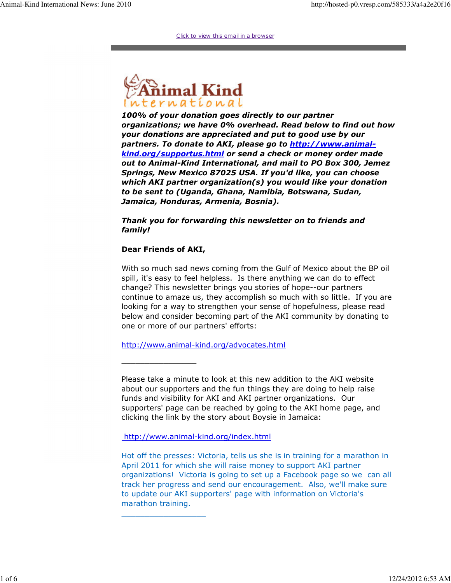Click to view this email in a browser



100% of your donation goes directly to our partner organizations; we have 0% overhead. Read below to find out how your donations are appreciated and put to good use by our partners. To donate to AKI, please go to http://www.animalkind.org/supportus.html or send a check or money order made out to Animal-Kind International, and mail to PO Box 300, Jemez Springs, New Mexico 87025 USA. If you'd like, you can choose which AKI partner organization(s) you would like your donation to be sent to (Uganda, Ghana, Namibia, Botswana, Sudan, Jamaica, Honduras, Armenia, Bosnia).

Thank you for forwarding this newsletter on to friends and family!

## Dear Friends of AKI,

\_\_\_\_\_\_\_\_\_\_\_\_\_\_\_\_

\_\_\_\_\_\_\_\_\_\_\_\_\_\_\_\_\_\_

With so much sad news coming from the Gulf of Mexico about the BP oil spill, it's easy to feel helpless. Is there anything we can do to effect change? This newsletter brings you stories of hope--our partners continue to amaze us, they accomplish so much with so little. If you are looking for a way to strengthen your sense of hopefulness, please read below and consider becoming part of the AKI community by donating to one or more of our partners' efforts:

http://www.animal-kind.org/advocates.html

Please take a minute to look at this new addition to the AKI website about our supporters and the fun things they are doing to help raise funds and visibility for AKI and AKI partner organizations. Our supporters' page can be reached by going to the AKI home page, and clicking the link by the story about Boysie in Jamaica:

http://www.animal-kind.org/index.html

Hot off the presses: Victoria, tells us she is in training for a marathon in April 2011 for which she will raise money to support AKI partner organizations! Victoria is going to set up a Facebook page so we can all track her progress and send our encouragement. Also, we'll make sure to update our AKI supporters' page with information on Victoria's marathon training.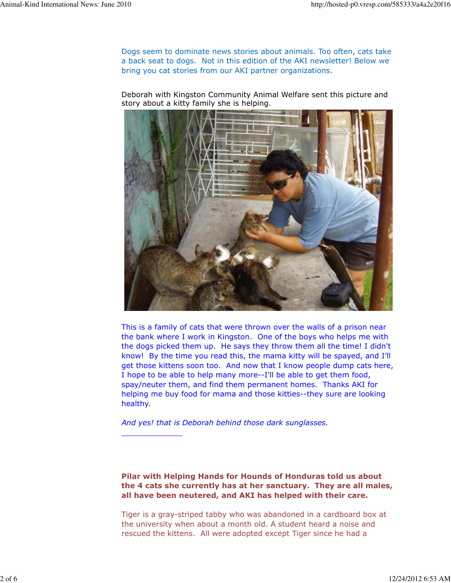Dogs seem to dominate news stories about animals. Too often, cats take a back seat to dogs. Not in this edition of the AKI newsletter! Below we bring you cat stories from our AKI partner organizations.

Deborah with Kingston Community Animal Welfare sent this picture and story about a kitty family she is helping.



This is a family of cats that were thrown over the walls of a prison near the bank where I work in Kingston. One of the boys who helps me with the dogs picked them up. He says they throw them all the time! I didn't know! By the time you read this, the mama kitty will be spayed, and I'll get those kittens soon too. And now that I know people dump cats here, I hope to be able to help many more--I'll be able to get them food, spay/neuter them, and find them permanent homes. Thanks AKI for helping me buy food for mama and those kitties--they sure are looking healthy.

And yes! that is Deborah behind those dark sunglasses.

\_\_\_\_\_\_\_\_\_\_\_\_\_

Pilar with Helping Hands for Hounds of Honduras told us about the 4 cats she currently has at her sanctuary. They are all males, all have been neutered, and AKI has helped with their care.

Tiger is a gray-striped tabby who was abandoned in a cardboard box at the university when about a month old. A student heard a noise and rescued the kittens. All were adopted except Tiger since he had a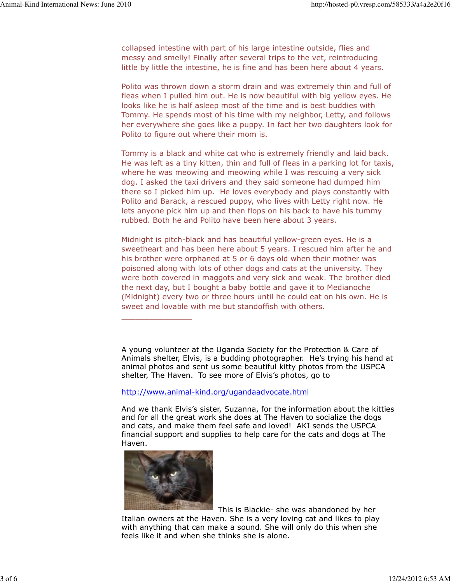collapsed intestine with part of his large intestine outside, flies and messy and smelly! Finally after several trips to the vet, reintroducing little by little the intestine, he is fine and has been here about 4 years.

Polito was thrown down a storm drain and was extremely thin and full of fleas when I pulled him out. He is now beautiful with big yellow eyes. He looks like he is half asleep most of the time and is best buddies with Tommy. He spends most of his time with my neighbor, Letty, and follows her everywhere she goes like a puppy. In fact her two daughters look for Polito to figure out where their mom is.

Tommy is a black and white cat who is extremely friendly and laid back. He was left as a tiny kitten, thin and full of fleas in a parking lot for taxis, where he was meowing and meowing while I was rescuing a very sick dog. I asked the taxi drivers and they said someone had dumped him there so I picked him up. He loves everybody and plays constantly with Polito and Barack, a rescued puppy, who lives with Letty right now. He lets anyone pick him up and then flops on his back to have his tummy rubbed. Both he and Polito have been here about 3 years.

Midnight is pitch-black and has beautiful yellow-green eyes. He is a sweetheart and has been here about 5 years. I rescued him after he and his brother were orphaned at 5 or 6 days old when their mother was poisoned along with lots of other dogs and cats at the university. They were both covered in maggots and very sick and weak. The brother died the next day, but I bought a baby bottle and gave it to Medianoche (Midnight) every two or three hours until he could eat on his own. He is sweet and lovable with me but standoffish with others.

A young volunteer at the Uganda Society for the Protection & Care of Animals shelter, Elvis, is a budding photographer. He's trying his hand at animal photos and sent us some beautiful kitty photos from the USPCA shelter, The Haven. To see more of Elvis's photos, go to

## http://www.animal-kind.org/ugandaadvocate.html

And we thank Elvis's sister, Suzanna, for the information about the kitties and for all the great work she does at The Haven to socialize the dogs and cats, and make them feel safe and loved! AKI sends the USPCA financial support and supplies to help care for the cats and dogs at The Haven.



\_\_\_\_\_\_\_\_\_\_\_\_\_\_\_

This is Blackie- she was abandoned by her

Italian owners at the Haven. She is a very loving cat and likes to play with anything that can make a sound. She will only do this when she feels like it and when she thinks she is alone.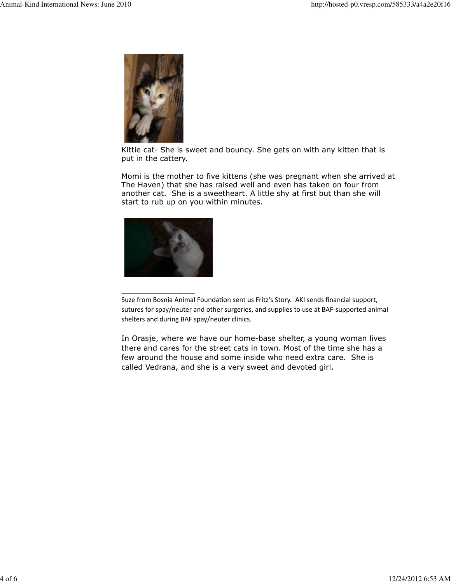

Kittie cat- She is sweet and bouncy. She gets on with any kitten that is put in the cattery.

Momi is the mother to five kittens (she was pregnant when she arrived at The Haven) that she has raised well and even has taken on four from another cat. She is a sweetheart. A little shy at first but than she will start to rub up on you within minutes.



 $\overline{\phantom{a}}$  , we can also the contract of  $\overline{\phantom{a}}$ 

In Orasje, where we have our home-base shelter, a young woman lives there and cares for the street cats in town. Most of the time she has a few around the house and some inside who need extra care. She is called Vedrana, and she is a very sweet and devoted girl.

Suze from Bosnia Animal Foundation sent us Fritz's Story. AKI sends financial support, sutures for spay/neuter and other surgeries, and supplies to use at BAF-supported animal shelters and during BAF spay/neuter clinics.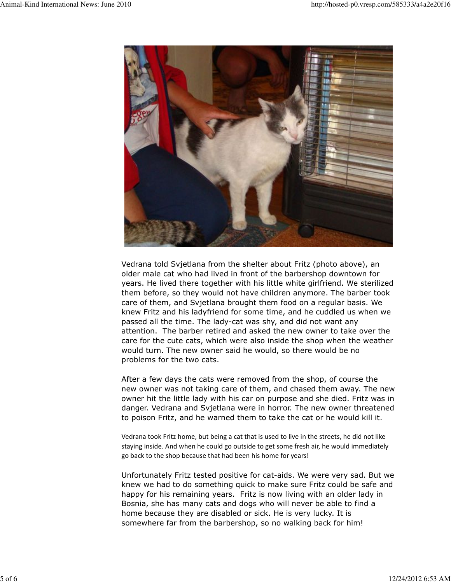

Vedrana told Svjetlana from the shelter about Fritz (photo above), an older male cat who had lived in front of the barbershop downtown for years. He lived there together with his little white girlfriend. We sterilized them before, so they would not have children anymore. The barber took care of them, and Svjetlana brought them food on a regular basis. We knew Fritz and his ladyfriend for some time, and he cuddled us when we passed all the time. The lady-cat was shy, and did not want any attention. The barber retired and asked the new owner to take over the care for the cute cats, which were also inside the shop when the weather would turn. The new owner said he would, so there would be no problems for the two cats.

After a few days the cats were removed from the shop, of course the new owner was not taking care of them, and chased them away. The new owner hit the little lady with his car on purpose and she died. Fritz was in danger. Vedrana and Svjetlana were in horror. The new owner threatened to poison Fritz, and he warned them to take the cat or he would kill it.

Vedrana took Fritz home, but being a cat that is used to live in the streets, he did not like staying inside. And when he could go outside to get some fresh air, he would immediately go back to the shop because that had been his home for years!

Unfortunately Fritz tested positive for cat-aids. We were very sad. But we knew we had to do something quick to make sure Fritz could be safe and happy for his remaining years. Fritz is now living with an older lady in Bosnia, she has many cats and dogs who will never be able to find a home because they are disabled or sick. He is very lucky. It is somewhere far from the barbershop, so no walking back for him!